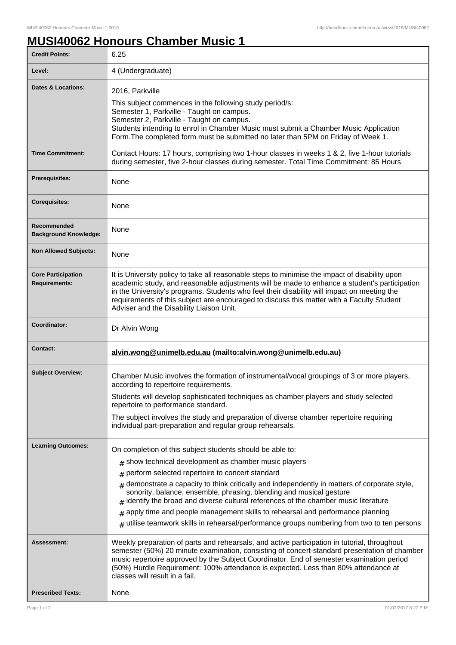## **MUSI40062 Honours Chamber Music 1**

| <b>Credit Points:</b>                             | 6.25                                                                                                                                                                                                                                                                                                                                                                                                                                                                                                                                                                                                                                    |
|---------------------------------------------------|-----------------------------------------------------------------------------------------------------------------------------------------------------------------------------------------------------------------------------------------------------------------------------------------------------------------------------------------------------------------------------------------------------------------------------------------------------------------------------------------------------------------------------------------------------------------------------------------------------------------------------------------|
| Level:                                            | 4 (Undergraduate)                                                                                                                                                                                                                                                                                                                                                                                                                                                                                                                                                                                                                       |
| Dates & Locations:                                | 2016, Parkville<br>This subject commences in the following study period/s:<br>Semester 1, Parkville - Taught on campus.<br>Semester 2, Parkville - Taught on campus.<br>Students intending to enrol in Chamber Music must submit a Chamber Music Application<br>Form. The completed form must be submitted no later than 5PM on Friday of Week 1.                                                                                                                                                                                                                                                                                       |
| <b>Time Commitment:</b>                           | Contact Hours: 17 hours, comprising two 1-hour classes in weeks 1 & 2, five 1-hour tutorials<br>during semester, five 2-hour classes during semester. Total Time Commitment: 85 Hours                                                                                                                                                                                                                                                                                                                                                                                                                                                   |
| <b>Prerequisites:</b>                             | None                                                                                                                                                                                                                                                                                                                                                                                                                                                                                                                                                                                                                                    |
| <b>Corequisites:</b>                              | None                                                                                                                                                                                                                                                                                                                                                                                                                                                                                                                                                                                                                                    |
| Recommended<br><b>Background Knowledge:</b>       | None                                                                                                                                                                                                                                                                                                                                                                                                                                                                                                                                                                                                                                    |
| <b>Non Allowed Subjects:</b>                      | None                                                                                                                                                                                                                                                                                                                                                                                                                                                                                                                                                                                                                                    |
| <b>Core Participation</b><br><b>Requirements:</b> | It is University policy to take all reasonable steps to minimise the impact of disability upon<br>academic study, and reasonable adjustments will be made to enhance a student's participation<br>in the University's programs. Students who feel their disability will impact on meeting the<br>requirements of this subject are encouraged to discuss this matter with a Faculty Student<br>Adviser and the Disability Liaison Unit.                                                                                                                                                                                                  |
| Coordinator:                                      | Dr Alvin Wong                                                                                                                                                                                                                                                                                                                                                                                                                                                                                                                                                                                                                           |
| <b>Contact:</b>                                   | alvin.wong@unimelb.edu.au (mailto:alvin.wong@unimelb.edu.au)                                                                                                                                                                                                                                                                                                                                                                                                                                                                                                                                                                            |
| <b>Subject Overview:</b>                          | Chamber Music involves the formation of instrumental/vocal groupings of 3 or more players,<br>according to repertoire requirements.<br>Students will develop sophisticated techniques as chamber players and study selected<br>repertoire to performance standard.<br>The subject involves the study and preparation of diverse chamber repertoire requiring<br>individual part-preparation and regular group rehearsals.                                                                                                                                                                                                               |
| <b>Learning Outcomes:</b>                         | On completion of this subject students should be able to:<br>$#$ show technical development as chamber music players<br>perform selected repertoire to concert standard<br>#<br>$#$ demonstrate a capacity to think critically and independently in matters of corporate style,<br>sonority, balance, ensemble, phrasing, blending and musical gesture<br>$#$ identify the broad and diverse cultural references of the chamber music literature<br>apply time and people management skills to rehearsal and performance planning<br>#<br>$#$ utilise teamwork skills in rehearsal/performance groups numbering from two to ten persons |
| <b>Assessment:</b>                                | Weekly preparation of parts and rehearsals, and active participation in tutorial, throughout<br>semester (50%) 20 minute examination, consisting of concert-standard presentation of chamber<br>music repertoire approved by the Subject Coordinator. End of semester examination period<br>(50%) Hurdle Requirement: 100% attendance is expected. Less than 80% attendance at<br>classes will result in a fail.                                                                                                                                                                                                                        |
| <b>Prescribed Texts:</b>                          | None                                                                                                                                                                                                                                                                                                                                                                                                                                                                                                                                                                                                                                    |